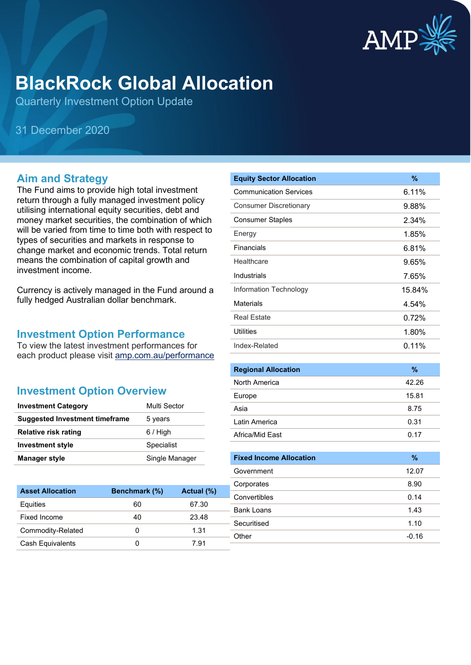

# **BlackRock Global Allocation**

Quarterly Investment Option Update

31 December 2020

#### **Aim and Strategy**

The Fund aims to provide high total investment return through a fully managed investment policy utilising international equity securities, debt and money market securities, the combination of which will be varied from time to time both with respect to types of securities and markets in response to change market and economic trends. Total return means the combination of capital growth and investment income.

Currency is actively managed in the Fund around a fully hedged Australian dollar benchmark.

#### **Investment Option Performance**

To view the latest investment performances for each product please visit [amp.com.au/performance](https://www.amp.com.au/performance)

### **Investment Option Overview**

| <b>Investment Category</b>            | Multi Sector   |
|---------------------------------------|----------------|
| <b>Suggested Investment timeframe</b> | 5 years        |
| <b>Relative risk rating</b>           | $6/$ High      |
| <b>Investment style</b>               | Specialist     |
| <b>Manager style</b>                  | Single Manager |

| <b>Asset Allocation</b> | Benchmark (%) | Actual (%) |
|-------------------------|---------------|------------|
| Equities                | 60            | 67.30      |
| Fixed Income            | 40            | 23.48      |
| Commodity-Related       |               | 1.31       |
| Cash Equivalents        |               | 7 91       |

| <b>Equity Sector Allocation</b> | $\%$     |
|---------------------------------|----------|
| <b>Communication Services</b>   | $6.11\%$ |
| <b>Consumer Discretionary</b>   | 9.88%    |
| <b>Consumer Staples</b>         | $2.34\%$ |
| Energy                          | 1.85%    |
| Financials                      | 6.81%    |
| Healthcare                      | 9.65%    |
| Industrials                     | 7.65%    |
| Information Technology          | 15.84%   |
| <b>Materials</b>                | 4.54%    |
| Real Estate                     | 0.72%    |
| <b>Utilities</b>                | 1.80%    |
| Index-Related                   | $0.11\%$ |

| <b>Regional Allocation</b> | $\%$  |
|----------------------------|-------|
| North America              | 42.26 |
| Europe                     | 15.81 |
| Asia                       | 8.75  |
| Latin America              | 0.31  |
| Africa/Mid East            | 0.17  |

| <b>Fixed Income Allocation</b> | %       |
|--------------------------------|---------|
| Government                     | 12.07   |
| Corporates                     | 8.90    |
| Convertibles                   | 0.14    |
| Bank Loans                     | 1.43    |
| Securitised                    | 1.10    |
| ⊦ Other                        | $-0.16$ |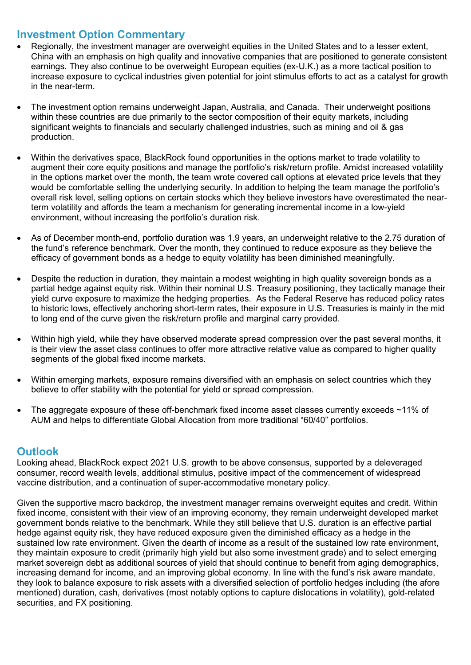## **Investment Option Commentary**

- Regionally, the investment manager are overweight equities in the United States and to a lesser extent, China with an emphasis on high quality and innovative companies that are positioned to generate consistent earnings. They also continue to be overweight European equities (ex-U.K.) as a more tactical position to increase exposure to cyclical industries given potential for joint stimulus efforts to act as a catalyst for growth in the near-term.
- The investment option remains underweight Japan, Australia, and Canada. Their underweight positions within these countries are due primarily to the sector composition of their equity markets, including significant weights to financials and secularly challenged industries, such as mining and oil & gas production.
- Within the derivatives space, BlackRock found opportunities in the options market to trade volatility to augment their core equity positions and manage the portfolio's risk/return profile. Amidst increased volatility in the options market over the month, the team wrote covered call options at elevated price levels that they would be comfortable selling the underlying security. In addition to helping the team manage the portfolio's overall risk level, selling options on certain stocks which they believe investors have overestimated the nearterm volatility and affords the team a mechanism for generating incremental income in a low-yield environment, without increasing the portfolio's duration risk.
- As of December month-end, portfolio duration was 1.9 years, an underweight relative to the 2.75 duration of the fund's reference benchmark. Over the month, they continued to reduce exposure as they believe the efficacy of government bonds as a hedge to equity volatility has been diminished meaningfully.
- Despite the reduction in duration, they maintain a modest weighting in high quality sovereign bonds as a partial hedge against equity risk. Within their nominal U.S. Treasury positioning, they tactically manage their yield curve exposure to maximize the hedging properties. As the Federal Reserve has reduced policy rates to historic lows, effectively anchoring short-term rates, their exposure in U.S. Treasuries is mainly in the mid to long end of the curve given the risk/return profile and marginal carry provided.
- Within high yield, while they have observed moderate spread compression over the past several months, it is their view the asset class continues to offer more attractive relative value as compared to higher quality segments of the global fixed income markets.
- Within emerging markets, exposure remains diversified with an emphasis on select countries which they believe to offer stability with the potential for yield or spread compression.
- The aggregate exposure of these off-benchmark fixed income asset classes currently exceeds ~11% of AUM and helps to differentiate Global Allocation from more traditional "60/40" portfolios.

### **Outlook**

Looking ahead, BlackRock expect 2021 U.S. growth to be above consensus, supported by a deleveraged consumer, record wealth levels, additional stimulus, positive impact of the commencement of widespread vaccine distribution, and a continuation of super-accommodative monetary policy.

Given the supportive macro backdrop, the investment manager remains overweight equites and credit. Within fixed income, consistent with their view of an improving economy, they remain underweight developed market government bonds relative to the benchmark. While they still believe that U.S. duration is an effective partial hedge against equity risk, they have reduced exposure given the diminished efficacy as a hedge in the sustained low rate environment. Given the dearth of income as a result of the sustained low rate environment, they maintain exposure to credit (primarily high yield but also some investment grade) and to select emerging market sovereign debt as additional sources of yield that should continue to benefit from aging demographics, increasing demand for income, and an improving global economy. In line with the fund's risk aware mandate, they look to balance exposure to risk assets with a diversified selection of portfolio hedges including (the afore mentioned) duration, cash, derivatives (most notably options to capture dislocations in volatility), gold-related securities, and FX positioning.